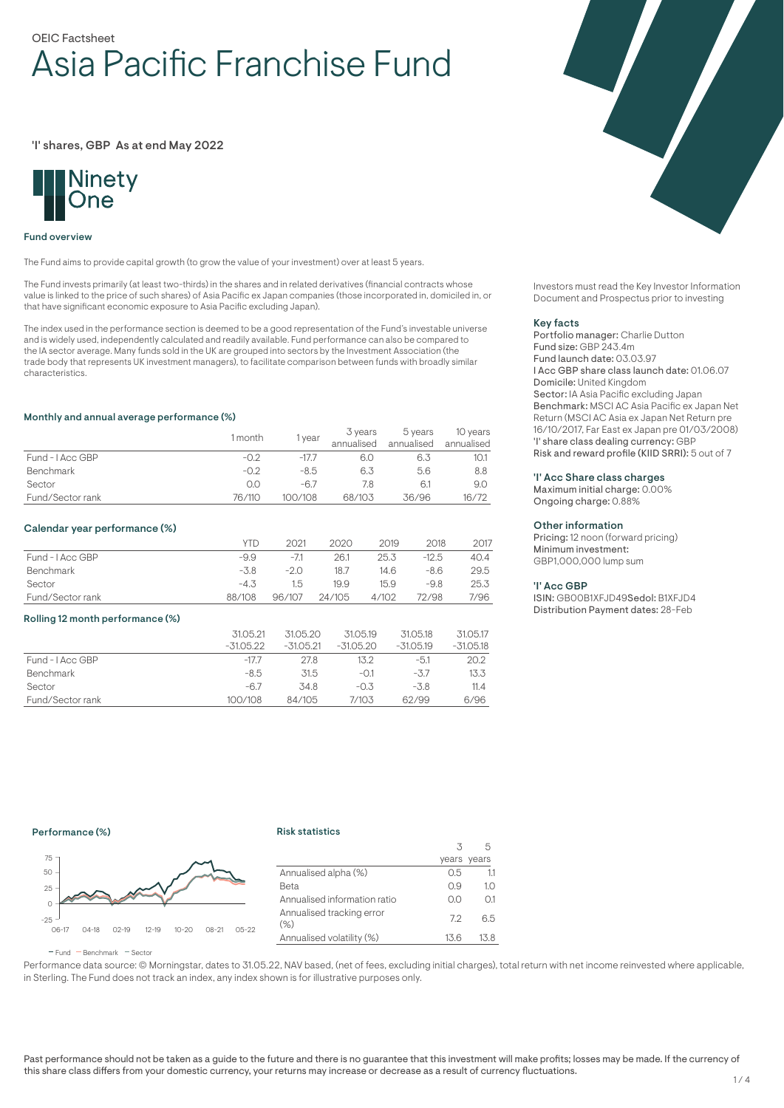# OEIC Factsheet Asia Pacific Franchise Fund

### 'I' shares, GBP As at end May 2022



#### Fund overview

The Fund aims to provide capital growth (to grow the value of your investment) over at least 5 years.

The Fund invests primarily (at least two-thirds) in the shares and in related derivatives (financial contracts whose value is linked to the price of such shares) of Asia Pacific ex Japan companies (those incorporated in, domiciled in, or that have significant economic exposure to Asia Pacific excluding Japan).

The index used in the performance section is deemed to be a good representation of the Fund's investable universe and is widely used, independently calculated and readily available. Fund performance can also be compared to the IA sector average. Many funds sold in the UK are grouped into sectors by the Investment Association (the trade body that represents UK investment managers), to facilitate comparison between funds with broadly similar characteristics.

#### Monthly and annual average performance (%)

|                  | 1 month | 1 year  | 3 years<br>annualised | 5 years<br>annualised | 10 years<br>annualised |
|------------------|---------|---------|-----------------------|-----------------------|------------------------|
| Fund - I Acc GBP | $-0.2$  | $-177$  | 6.0                   | 6.3                   | 10.1                   |
| <b>Benchmark</b> | $-0.2$  | $-8.5$  | 6.3                   | 5.6                   | 8.8                    |
| Sector           | 0.0     | $-67$   |                       |                       | 9.0                    |
| Fund/Sector rank | 76/110  | 100/108 | 68/103                | 36/96                 | 16/72                  |

#### Calendar year performance (%)

|                  | <b>YTD</b> | 2021   | 2020   | 2019  | 2018    | 2017 |
|------------------|------------|--------|--------|-------|---------|------|
| Fund - I Acc GBP | -9.9       | $-7.1$ | 26.1   | 25.3  | $-12.5$ | 40.4 |
| Benchmark        | $-3.8$     | $-20$  | 18.7   | 14.6  | $-8.6$  | 29.5 |
| Sector           | $-4.3$     | 1.5    | 19.9   | 15.9  | -9.8    | 25.3 |
| Fund/Sector rank | 88/108     | 96/107 | 24/105 | 4/102 | 72/98   | 7/96 |

#### Rolling 12 month performance (%)

|                  | 31.05.21<br>$-31.05.22$ | 31.05.20<br>$-31.05.21$ | 31.05.19<br>$-31.05.20$ | 31.05.18<br>$-31.05.19$ | 31.05.17<br>$-31.05.18$ |
|------------------|-------------------------|-------------------------|-------------------------|-------------------------|-------------------------|
| Fund - I Acc GBP | $-17.7$                 | 27.8                    | 13.2                    | $-5.1$                  | 20.2                    |
| <b>Benchmark</b> | -8.5                    | 31.5                    | $-0.1$                  | $-3.7$                  | 13.3                    |
| Sector           | $-6.7$                  | 34.8                    | $-0.3$                  | $-3.8$                  | 11.4                    |
| Fund/Sector rank | 100/108                 | 84/105                  | 7/103                   | 62/99                   | 6/96                    |

Investors must read the Key Investor Information Document and Prospectus prior to investing

#### Key facts

Portfolio manager: Charlie Dutton Fund size: GBP 243.4m Fund launch date: 03.03.97 I Acc GBP share class launch date: 01.06.07 Domicile: United Kingdom Sector: IA Asia Pacific excluding Japan Benchmark: MSCI AC Asia Pacific ex Japan Net Return (MSCI AC Asia ex Japan Net Return pre 16/10/2017, Far East ex Japan pre 01/03/2008) 'I' share class dealing currency: GBP Risk and reward profile (KIID SRRI): 5 out of 7

## 'I' Acc Share class charges

Maximum initial charge: 0.00% Ongoing charge: 0.88%

#### Other information

Pricing: 12 noon (forward pricing) Minimum investment: GBP1,000,000 lump sum

#### 'I' Acc GBP

ISIN: GB00B1XFJD49Sedol: B1XFJD4 Distribution Payment dates: 28-Feb

## Performance (%)

#### Risk statistics



|                                   | 3    |             |
|-----------------------------------|------|-------------|
|                                   |      | years years |
| Annualised alpha (%)              | 0.5  | 11          |
| Beta                              | 0.9  | 1.0         |
| Annualised information ratio      | O.O  | 0.1         |
| Annualised tracking error<br>(% ) | 72   | 6.5         |
| Annualised volatility (%)         | 13.6 | 13.8        |
|                                   |      |             |

 $F$ und  $B$ Benchmark  $F$ Sector

Performance data source: © Morningstar, dates to 31.05.22, NAV based, (net of fees, excluding initial charges), total return with net income reinvested where applicable, in Sterling. The Fund does not track an index, any index shown is for illustrative purposes only.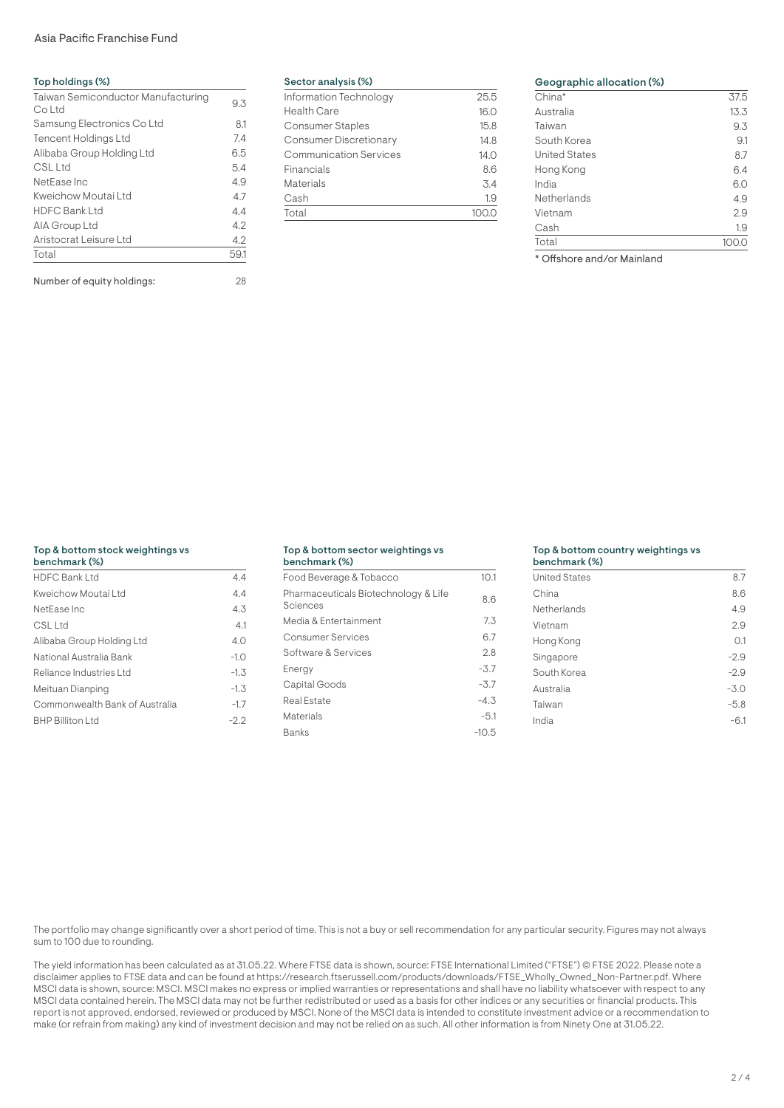## Asia Pacific Franchise Fund

| Top holdings (%)                             |      |  |  |
|----------------------------------------------|------|--|--|
| Taiwan Semiconductor Manufacturing<br>Co Ltd | 9.3  |  |  |
| Samsung Electronics Co Ltd                   | 8.1  |  |  |
| <b>Tencent Holdings Ltd</b>                  | 7.4  |  |  |
| Alibaba Group Holding Ltd                    | 6.5  |  |  |
| CSL Ltd                                      | 5.4  |  |  |
| NetEase Inc                                  | 4.9  |  |  |
| Kweichow Moutai Ltd                          | 4.7  |  |  |
| <b>HDFC Bank Ltd</b>                         | 4.4  |  |  |
| AIA Group Ltd                                | 4.2  |  |  |
| Aristocrat Leisure Ltd                       | 4.2  |  |  |
| Total                                        | 59.1 |  |  |
| Number of equity holdings:                   | 28   |  |  |

#### Sector analysis (%)

| Information Technology        | 25.5 |
|-------------------------------|------|
| <b>Health Care</b>            | 16.0 |
| Consumer Staples              | 15.8 |
| <b>Consumer Discretionary</b> | 14.8 |
| <b>Communication Services</b> | 14.0 |
| Financials                    | 8.6  |
| Materials                     | 3.4  |
| Cash                          | 1.9  |
| Total                         |      |
|                               |      |

## Geographic allocation (%) China\* 37.5<br>Australia 13.3 Australia Taiwan 9.3 South Korea 61 - 9.1 United States 8.7 Hong Kong 6.4 India 6.0 Netherlands 4.9 Vietnam 2.9<br>Cash 19

Cash 1.9 Total 100.0

\* Offshore and/or Mainland

## Top & bottom stock weightings vs

| benchmark (%)                  |        |
|--------------------------------|--------|
| <b>HDFC Bank Ltd</b>           | 4.4    |
| Kweichow Moutai Ltd            | 4.4    |
| NetEase Inc                    | 4.3    |
| CSL Ltd                        | 4.1    |
| Alibaba Group Holding Ltd      | 4.0    |
| National Australia Bank        | $-1.0$ |
| Reliance Industries Ltd        | $-1.3$ |
| Meituan Dianping               | $-1.3$ |
| Commonwealth Bank of Australia | $-1.7$ |
| <b>BHP Billiton Ltd</b>        | $-2.2$ |

#### Top & bottom sector weightings vs benchmark (%)

| Food Beverage & Tobacco                          | 10.1    |
|--------------------------------------------------|---------|
| Pharmaceuticals Biotechnology & Life<br>Sciences | 8.6     |
| Media & Entertainment                            | 7.3     |
| Consumer Services                                | 6.7     |
| Software & Services                              | 2.8     |
| Energy                                           | $-3.7$  |
| Capital Goods                                    | $-3.7$  |
| Real Estate                                      | $-4.3$  |
| Materials                                        | $-5.1$  |
| <b>Banks</b>                                     | $-10.5$ |

#### Top & bottom country weightings vs

| benchmark (%)        |        |
|----------------------|--------|
| <b>United States</b> | 8.7    |
| China                | 8.6    |
| Netherlands          | 4.9    |
| Vietnam              | 2.9    |
| Hong Kong            | O.1    |
| Singapore            | $-2.9$ |
| South Korea          | $-2.9$ |
| Australia            | $-3.0$ |
| Taiwan               | $-5.8$ |
| India                | $-6.1$ |
|                      |        |

The portfolio may change significantly over a short period of time. This is not a buy or sell recommendation for any particular security. Figures may not always sum to 100 due to rounding.

The yield information has been calculated as at 31.05.22. Where FTSE data is shown, source: FTSE International Limited ("FTSE") © FTSE 2022. Please note a disclaimer applies to FTSE data and can be found at https://research.ftserussell.com/products/downloads/FTSE\_Wholly\_Owned\_Non-Partner.pdf. Where MSCI data is shown, source: MSCI. MSCI makes no express or implied warranties or representations and shall have no liability whatsoever with respect to any MSCI data contained herein. The MSCI data may not be further redistributed or used as a basis for other indices or any securities or financial products. This report is not approved, endorsed, reviewed or produced by MSCI. None of the MSCI data is intended to constitute investment advice or a recommendation to make (or refrain from making) any kind of investment decision and may not be relied on as such. All other information is from Ninety One at 31.05.22.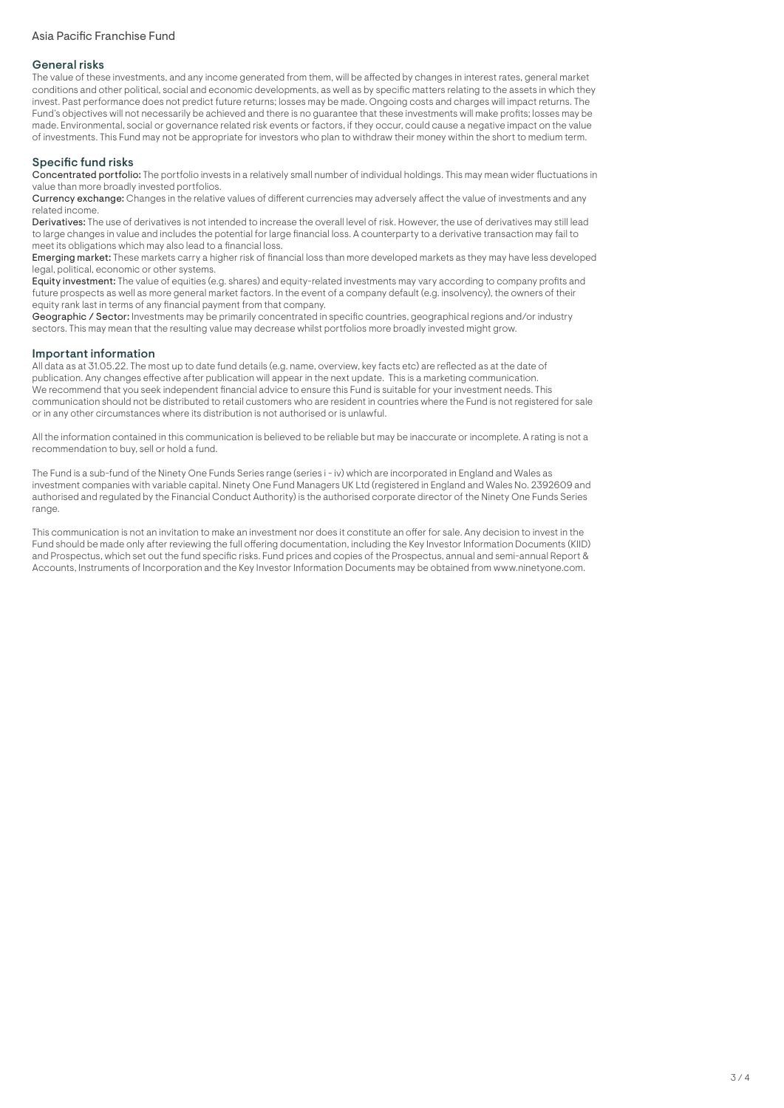## General risks

The value of these investments, and any income generated from them, will be affected by changes in interest rates, general market conditions and other political, social and economic developments, as well as by specific matters relating to the assets in which they invest. Past performance does not predict future returns; losses may be made. Ongoing costs and charges will impact returns. The Fund's objectives will not necessarily be achieved and there is no guarantee that these investments will make profits; losses may be made. Environmental, social or governance related risk events or factors, if they occur, could cause a negative impact on the value of investments. This Fund may not be appropriate for investors who plan to withdraw their money within the short to medium term.

## Specific fund risks

Concentrated portfolio: The portfolio invests in a relatively small number of individual holdings. This may mean wider fluctuations in value than more broadly invested portfolios.

Currency exchange: Changes in the relative values of different currencies may adversely affect the value of investments and any related income.

Derivatives: The use of derivatives is not intended to increase the overall level of risk. However, the use of derivatives may still lead to large changes in value and includes the potential for large financial loss. A counterparty to a derivative transaction may fail to meet its obligations which may also lead to a financial loss.

Emerging market: These markets carry a higher risk of financial loss than more developed markets as they may have less developed legal, political, economic or other systems.

Equity investment: The value of equities (e.g. shares) and equity-related investments may vary according to company profits and future prospects as well as more general market factors. In the event of a company default (e.g. insolvency), the owners of their equity rank last in terms of any financial payment from that company.

Geographic / Sector: Investments may be primarily concentrated in specific countries, geographical regions and/or industry sectors. This may mean that the resulting value may decrease whilst portfolios more broadly invested might grow.

## Important information

All data as at 31.05.22. The most up to date fund details (e.g. name, overview, key facts etc) are reflected as at the date of publication. Any changes effective after publication will appear in the next update. This is a marketing communication. We recommend that you seek independent financial advice to ensure this Fund is suitable for your investment needs. This communication should not be distributed to retail customers who are resident in countries where the Fund is not registered for sale or in any other circumstances where its distribution is not authorised or is unlawful.

All the information contained in this communication is believed to be reliable but may be inaccurate or incomplete. A rating is not a recommendation to buy, sell or hold a fund.

The Fund is a sub-fund of the Ninety One Funds Series range (series i - iv) which are incorporated in England and Wales as investment companies with variable capital. Ninety One Fund Managers UK Ltd (registered in England and Wales No. 2392609 and authorised and regulated by the Financial Conduct Authority) is the authorised corporate director of the Ninety One Funds Series range.

This communication is not an invitation to make an investment nor does it constitute an offer for sale. Any decision to invest in the Fund should be made only after reviewing the full offering documentation, including the Key Investor Information Documents (KIID) and Prospectus, which set out the fund specific risks. Fund prices and copies of the Prospectus, annual and semi-annual Report & Accounts, Instruments of Incorporation and the Key Investor Information Documents may be obtained from www.ninetyone.com.